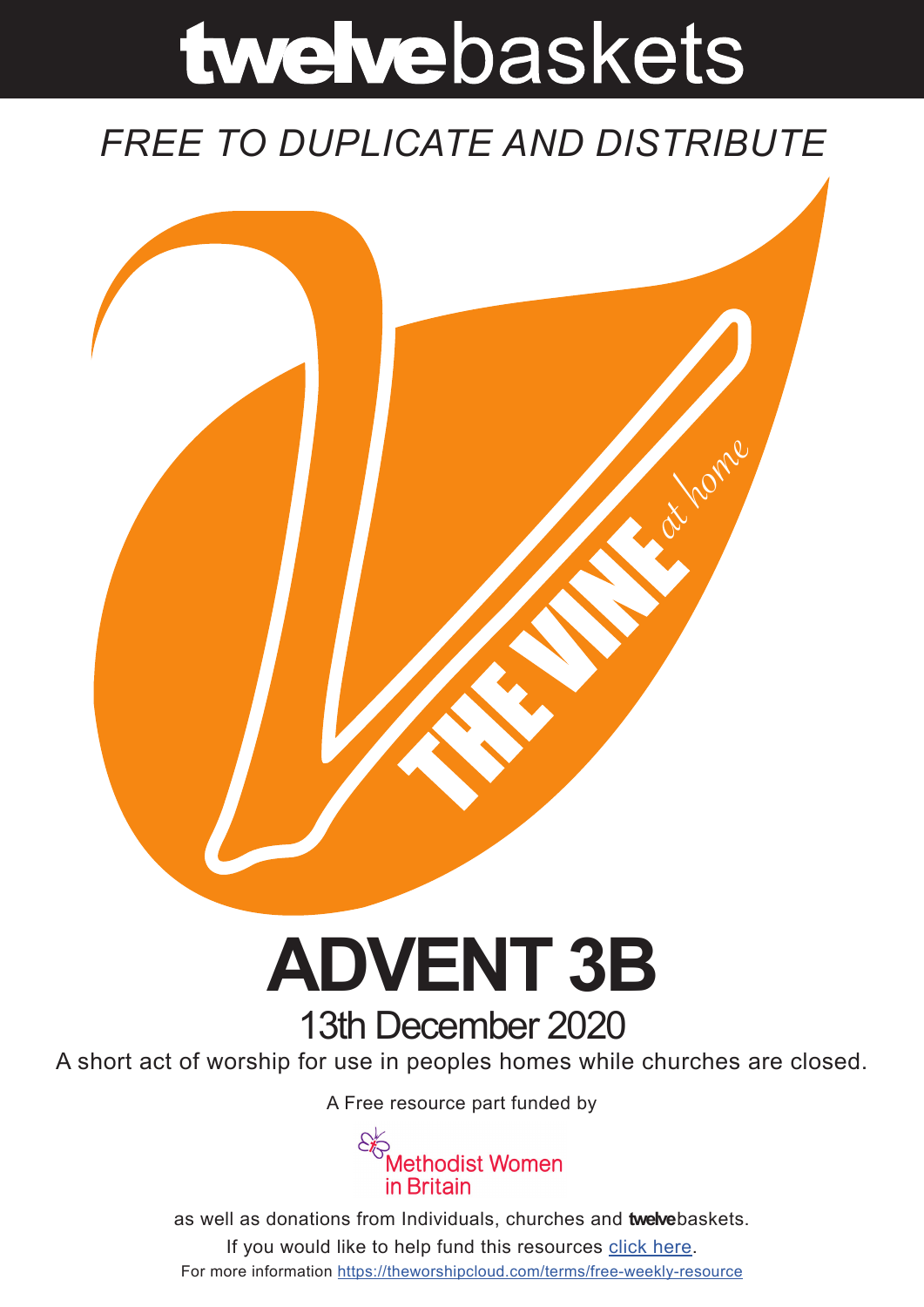# twelvebaskets

### *FREE TO DUPLICATE AND DISTRIBUTE*



## **ADVENT 3B** 13th December 2020

A short act of worship for use in peoples homes while churches are closed.

A Free resource part funded by



as well as donations from Individuals, churches and **twelve**baskets. If you would like to help fund this resources click here. For more information https://theworshipcloud.com/terms/free-weekly-resource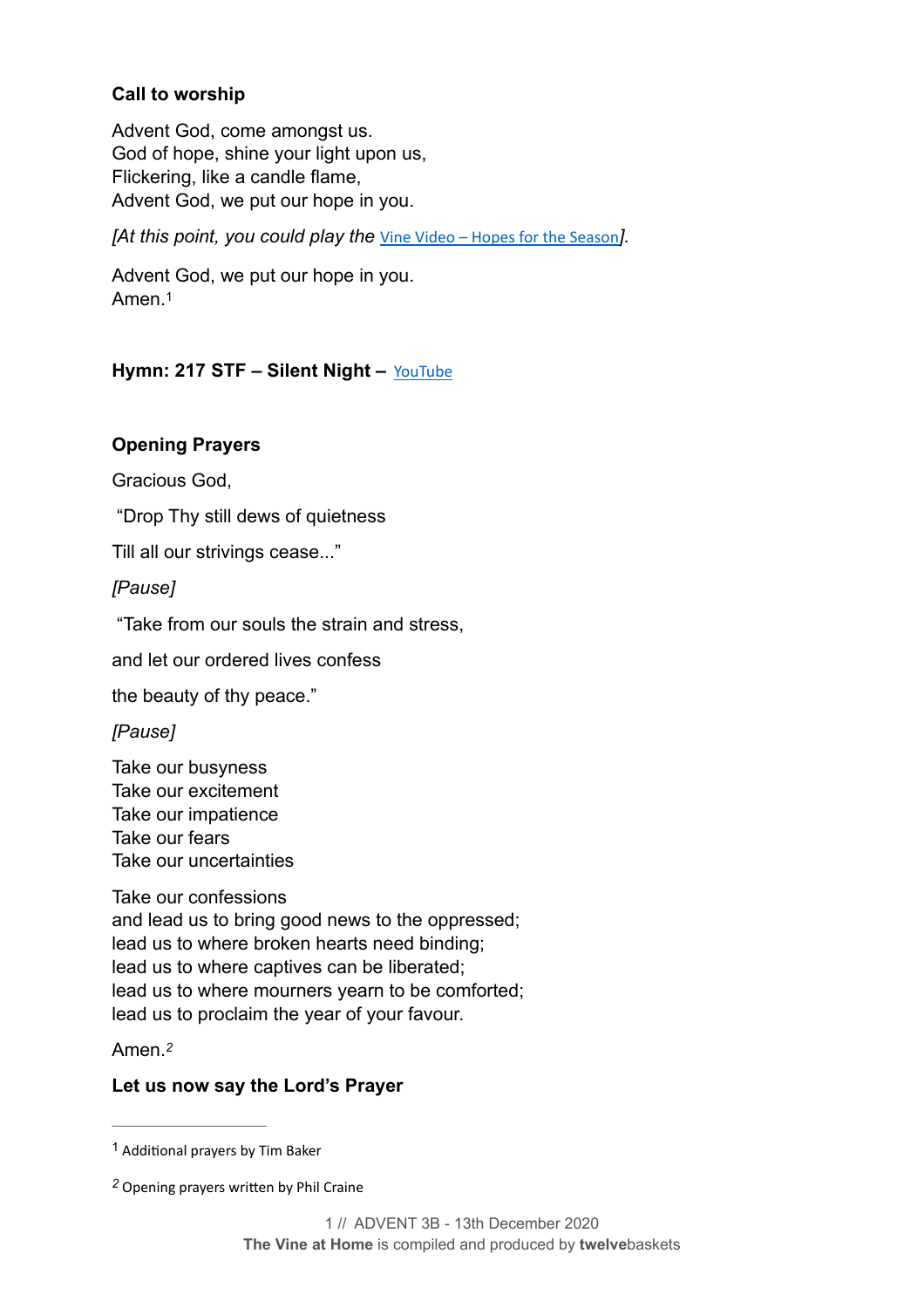#### **Call to worship**

Advent God, come amongst us. God of hope, shine your light upon us, Flickering, like a candle flame, Advent God, we put our hope in you.

*[At this point, you could play the* [Vine Video – Hopes for the Season](https://theworshipcloud.com/view/store/twelvebaskets-vine-video-hope-for-the-season-2-the-vine-video-13th-december)*].*

<span id="page-1-2"></span>Advent God, we put our hope in you. Amen.[1](#page-1-0)

#### **Hymn: 217 STF – Silent Night –** [YouTube](http://www.youtube.com/watch?v=5EcqyZEnuMc)

#### **Opening Prayers**

Gracious God,

"Drop Thy still dews of quietness

Till all our strivings cease..."

*[Pause]*

"Take from our souls the strain and stress,

and let our ordered lives confess

the beauty of thy peace."

*[Pause]*

Take our busyness Take our excitement Take our impatience Take our fears Take our uncertainties

Take our confessions and lead us to bring good news to the oppressed; lead us to where broken hearts need binding; lead us to where captives can be liberated; lead us to where mourners yearn to be comforted; lead us to proclaim the year of your favour.

<span id="page-1-3"></span>Amen.*[2](#page-1-1)*

#### **Let us now say the Lord's Prayer**

<span id="page-1-0"></span><sup>&</sup>lt;sup>[1](#page-1-2)</sup> Additional prayers by Tim Baker

<span id="page-1-1"></span>Opening prayers written by Phil Craine *[2](#page-1-3)*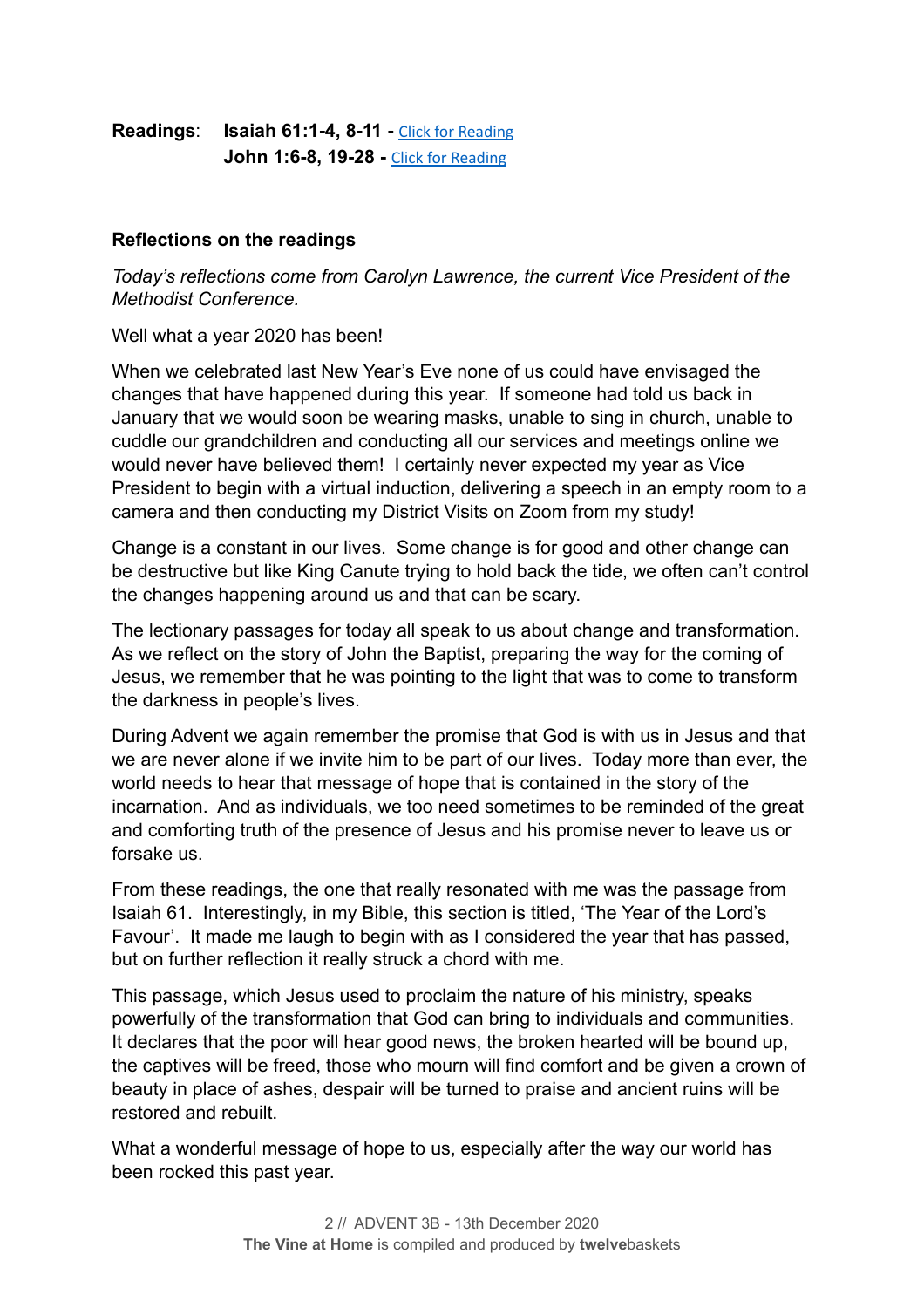**Readings**: **Isaiah 61:1-4, 8-11 -** [Click for Reading](https://www.biblegateway.com/passage/?search=Isaiah+61:1-4,+8-11&version=NRSV) **John 1:6-8, 19-28 - [Click for Reading](https://www.biblegateway.com/passage/?search=John+1:6-8,+19-28&version=NRSV)** 

#### **Reflections on the readings**

*Today's reflections come from Carolyn Lawrence, the current Vice President of the Methodist Conference.*

Well what a year 2020 has been!

When we celebrated last New Year's Eve none of us could have envisaged the changes that have happened during this year. If someone had told us back in January that we would soon be wearing masks, unable to sing in church, unable to cuddle our grandchildren and conducting all our services and meetings online we would never have believed them! I certainly never expected my year as Vice President to begin with a virtual induction, delivering a speech in an empty room to a camera and then conducting my District Visits on Zoom from my study!

Change is a constant in our lives. Some change is for good and other change can be destructive but like King Canute trying to hold back the tide, we often can't control the changes happening around us and that can be scary.

The lectionary passages for today all speak to us about change and transformation. As we reflect on the story of John the Baptist, preparing the way for the coming of Jesus, we remember that he was pointing to the light that was to come to transform the darkness in people's lives.

During Advent we again remember the promise that God is with us in Jesus and that we are never alone if we invite him to be part of our lives. Today more than ever, the world needs to hear that message of hope that is contained in the story of the incarnation. And as individuals, we too need sometimes to be reminded of the great and comforting truth of the presence of Jesus and his promise never to leave us or forsake us.

From these readings, the one that really resonated with me was the passage from Isaiah 61. Interestingly, in my Bible, this section is titled, 'The Year of the Lord's Favour'. It made me laugh to begin with as I considered the year that has passed, but on further reflection it really struck a chord with me.

This passage, which Jesus used to proclaim the nature of his ministry, speaks powerfully of the transformation that God can bring to individuals and communities. It declares that the poor will hear good news, the broken hearted will be bound up, the captives will be freed, those who mourn will find comfort and be given a crown of beauty in place of ashes, despair will be turned to praise and ancient ruins will be restored and rebuilt.

What a wonderful message of hope to us, especially after the way our world has been rocked this past year.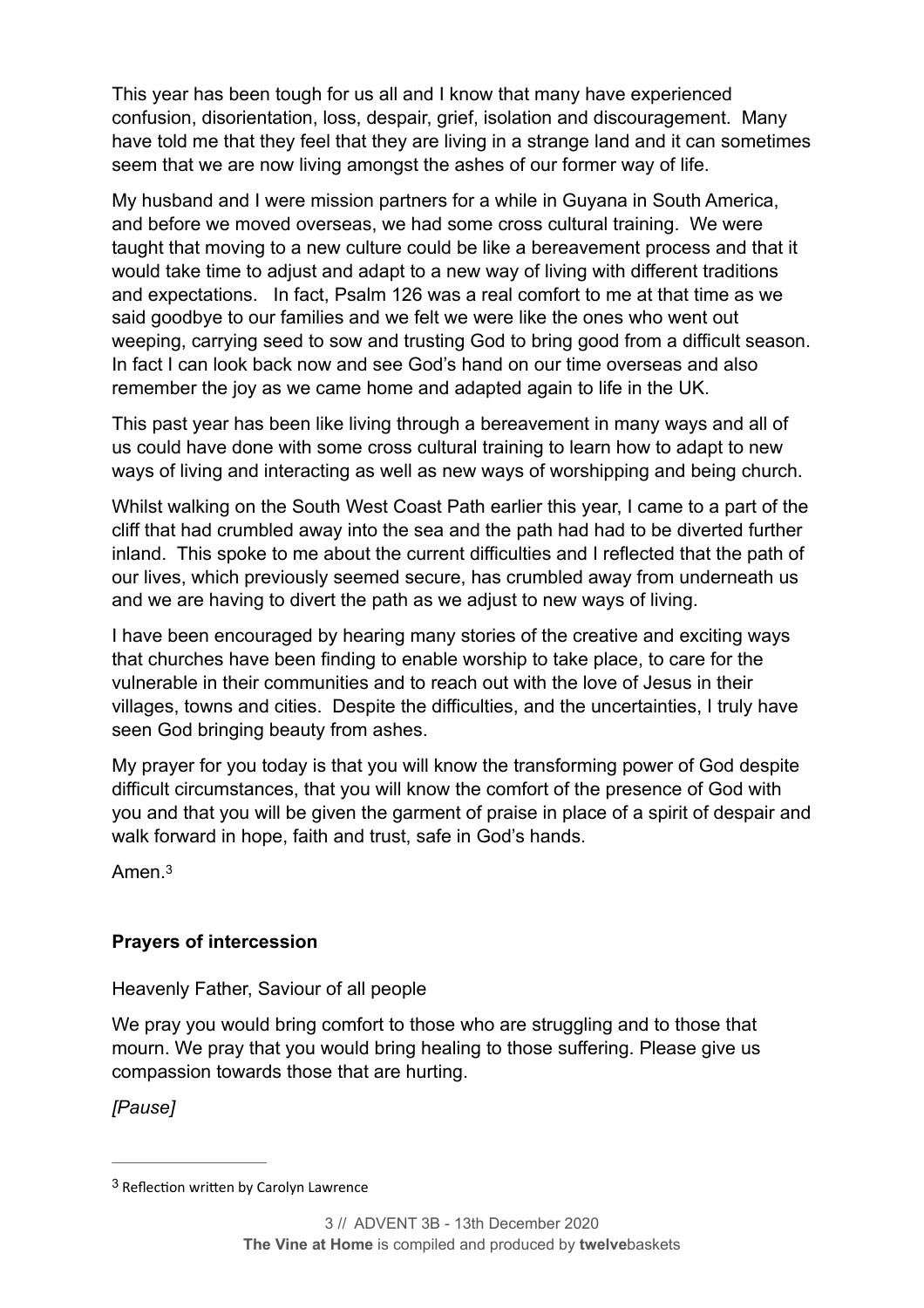This year has been tough for us all and I know that many have experienced confusion, disorientation, loss, despair, grief, isolation and discouragement. Many have told me that they feel that they are living in a strange land and it can sometimes seem that we are now living amongst the ashes of our former way of life.

My husband and I were mission partners for a while in Guyana in South America, and before we moved overseas, we had some cross cultural training. We were taught that moving to a new culture could be like a bereavement process and that it would take time to adjust and adapt to a new way of living with different traditions and expectations. In fact, Psalm 126 was a real comfort to me at that time as we said goodbye to our families and we felt we were like the ones who went out weeping, carrying seed to sow and trusting God to bring good from a difficult season. In fact I can look back now and see God's hand on our time overseas and also remember the joy as we came home and adapted again to life in the UK.

This past year has been like living through a bereavement in many ways and all of us could have done with some cross cultural training to learn how to adapt to new ways of living and interacting as well as new ways of worshipping and being church.

Whilst walking on the South West Coast Path earlier this year, I came to a part of the cliff that had crumbled away into the sea and the path had had to be diverted further inland. This spoke to me about the current difficulties and I reflected that the path of our lives, which previously seemed secure, has crumbled away from underneath us and we are having to divert the path as we adjust to new ways of living.

I have been encouraged by hearing many stories of the creative and exciting ways that churches have been finding to enable worship to take place, to care for the vulnerable in their communities and to reach out with the love of Jesus in their villages, towns and cities. Despite the difficulties, and the uncertainties, I truly have seen God bringing beauty from ashes.

My prayer for you today is that you will know the transforming power of God despite difficult circumstances, that you will know the comfort of the presence of God with you and that you will be given the garment of praise in place of a spirit of despair and walk forward in hope, faith and trust, safe in God's hands.

<span id="page-3-1"></span>Amen.[3](#page-3-0)

#### **Prayers of intercession**

Heavenly Father, Saviour of all people

We pray you would bring comfort to those who are struggling and to those that mourn. We pray that you would bring healing to those suffering. Please give us compassion towards those that are hurting.

*[Pause]*

<span id="page-3-0"></span> $3$  Reflection written by Carolyn Lawrence